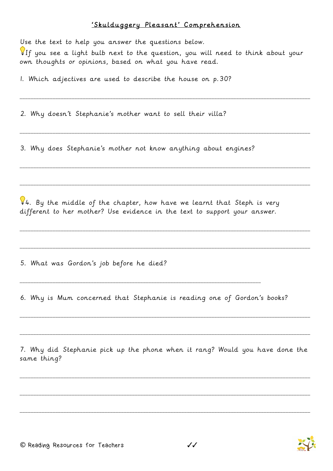## 'Skulduggery Pleasant' Comprehension

Use the text to help you answer the questions below.

 $\P$ If you see a light bulb next to the question, you will need to think about your own thoughts or opinions, based on what you have read.

\_\_\_\_\_\_\_\_\_\_\_\_\_\_\_\_\_\_\_\_\_\_\_\_\_\_\_\_\_\_\_\_\_\_\_\_\_\_\_\_\_\_\_\_\_\_\_\_\_\_\_\_\_\_\_\_\_\_\_\_\_\_\_\_\_\_\_\_\_\_\_\_\_\_\_\_\_\_\_\_\_\_\_\_\_\_\_\_\_\_\_\_\_\_\_\_\_\_\_\_\_\_\_\_\_\_

\_\_\_\_\_\_\_\_\_\_\_\_\_\_\_\_\_\_\_\_\_\_\_\_\_\_\_\_\_\_\_\_\_\_\_\_\_\_\_\_\_\_\_\_\_\_\_\_\_\_\_\_\_\_\_\_\_\_\_\_\_\_\_\_\_\_\_\_\_\_\_\_\_\_\_\_\_\_\_\_\_\_\_\_\_\_\_\_\_\_\_\_\_\_\_\_\_\_\_\_\_\_\_\_\_\_

\_\_\_\_\_\_\_\_\_\_\_\_\_\_\_\_\_\_\_\_\_\_\_\_\_\_\_\_\_\_\_\_\_\_\_\_\_\_\_\_\_\_\_\_\_\_\_\_\_\_\_\_\_\_\_\_\_\_\_\_\_\_\_\_\_\_\_\_\_\_\_\_\_\_\_\_\_\_\_\_\_\_\_\_\_\_\_\_\_\_\_\_\_\_\_\_\_\_\_\_\_\_\_\_\_\_

\_\_\_\_\_\_\_\_\_\_\_\_\_\_\_\_\_\_\_\_\_\_\_\_\_\_\_\_\_\_\_\_\_\_\_\_\_\_\_\_\_\_\_\_\_\_\_\_\_\_\_\_\_\_\_\_\_\_\_\_\_\_\_\_\_\_\_\_\_\_\_\_\_\_\_\_\_\_\_\_\_\_\_\_\_\_\_\_\_\_\_\_\_\_\_\_\_\_\_\_\_\_\_\_\_\_

\_\_\_\_\_\_\_\_\_\_\_\_\_\_\_\_\_\_\_\_\_\_\_\_\_\_\_\_\_\_\_\_\_\_\_\_\_\_\_\_\_\_\_\_\_\_\_\_\_\_\_\_\_\_\_\_\_\_\_\_\_\_\_\_\_\_\_\_\_\_\_\_\_\_\_\_\_\_\_\_\_\_\_\_\_\_\_\_\_\_\_\_\_\_\_\_\_\_\_\_\_\_\_\_\_\_

\_\_\_\_\_\_\_\_\_\_\_\_\_\_\_\_\_\_\_\_\_\_\_\_\_\_\_\_\_\_\_\_\_\_\_\_\_\_\_\_\_\_\_\_\_\_\_\_\_\_\_\_\_\_\_\_\_\_\_\_\_\_\_\_\_\_\_\_\_\_\_\_\_\_\_\_\_\_\_\_\_\_\_\_\_\_\_\_\_\_\_\_\_\_\_\_\_\_\_\_\_\_\_\_\_\_

1. Which adjectives are used to describe the house on p.30?

2. Why doesn't Stephanie's mother want to sell their villa?

3. Why does Stephanie's mother not know anything about engines?

 $\sqrt{94}$ . By the middle of the chapter, how have we learnt that Steph is very different to her mother? Use evidence in the text to support your answer.

5. What was Gordon's job before he died?

6. Why is Mum concerned that Stephanie is reading one of Gordon's books?

\_\_\_\_\_\_\_\_\_\_\_\_\_\_\_\_\_\_\_\_\_\_\_\_\_\_\_\_\_\_\_\_\_\_\_\_\_\_\_\_\_\_\_\_\_\_\_\_\_\_\_\_\_\_\_\_\_\_\_\_\_\_\_\_\_\_\_\_\_\_\_\_\_\_\_\_\_\_\_\_\_\_\_\_\_\_\_\_

7. Why did Stephanie pick up the phone when it rang? Would you have done the same thing?

\_\_\_\_\_\_\_\_\_\_\_\_\_\_\_\_\_\_\_\_\_\_\_\_\_\_\_\_\_\_\_\_\_\_\_\_\_\_\_\_\_\_\_\_\_\_\_\_\_\_\_\_\_\_\_\_\_\_\_\_\_\_\_\_\_\_\_\_\_\_\_\_\_\_\_\_\_\_\_\_\_\_\_\_\_\_\_\_\_\_\_\_\_\_\_\_\_\_\_\_\_\_\_\_\_\_

\_\_\_\_\_\_\_\_\_\_\_\_\_\_\_\_\_\_\_\_\_\_\_\_\_\_\_\_\_\_\_\_\_\_\_\_\_\_\_\_\_\_\_\_\_\_\_\_\_\_\_\_\_\_\_\_\_\_\_\_\_\_\_\_\_\_\_\_\_\_\_\_\_\_\_\_\_\_\_\_\_\_\_\_\_\_\_\_\_\_\_\_\_\_\_\_\_\_\_\_\_\_\_\_\_\_

\_\_\_\_\_\_\_\_\_\_\_\_\_\_\_\_\_\_\_\_\_\_\_\_\_\_\_\_\_\_\_\_\_\_\_\_\_\_\_\_\_\_\_\_\_\_\_\_\_\_\_\_\_\_\_\_\_\_\_\_\_\_\_\_\_\_\_\_\_\_\_\_\_\_\_\_\_\_\_\_\_\_\_\_\_\_\_\_\_\_\_\_\_\_\_\_\_\_\_\_\_\_\_\_\_\_

\_\_\_\_\_\_\_\_\_\_\_\_\_\_\_\_\_\_\_\_\_\_\_\_\_\_\_\_\_\_\_\_\_\_\_\_\_\_\_\_\_\_\_\_\_\_\_\_\_\_\_\_\_\_\_\_\_\_\_\_\_\_\_\_\_\_\_\_\_\_\_\_\_\_\_\_\_\_\_\_\_\_\_\_\_\_\_\_\_\_\_\_\_\_\_\_\_\_\_\_\_\_\_\_\_\_

\_\_\_\_\_\_\_\_\_\_\_\_\_\_\_\_\_\_\_\_\_\_\_\_\_\_\_\_\_\_\_\_\_\_\_\_\_\_\_\_\_\_\_\_\_\_\_\_\_\_\_\_\_\_\_\_\_\_\_\_\_\_\_\_\_\_\_\_\_\_\_\_\_\_\_\_\_\_\_\_\_\_\_\_\_\_\_\_\_\_\_\_\_\_\_\_\_\_\_\_\_\_\_\_\_\_